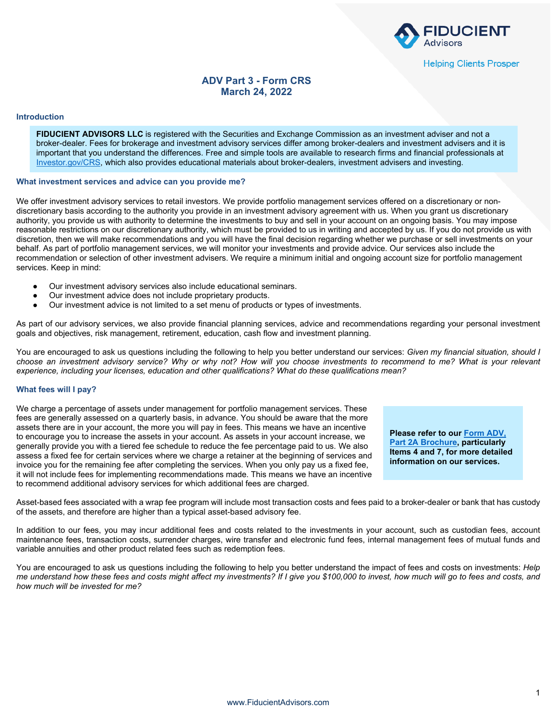

# **ADV Part 3 - Form CRS March 24, 2022**

#### **Introduction**

**FIDUCIENT ADVISORS LLC** is registered with the Securities and Exchange Commission as an investment adviser and not a broker-dealer. Fees for brokerage and investment advisory services differ among broker-dealers and investment advisers and it is important that you understand the differences. Free and simple tools are available to research firms and financial professionals at [Investor.gov/CRS,](https://www.investor.gov/CRS) which also provides educational materials about broker-dealers, investment advisers and investing.

## **What investment services and advice can you provide me?**

We offer investment advisory services to retail investors. We provide portfolio management services offered on a discretionary or nondiscretionary basis according to the authority you provide in an investment advisory agreement with us. When you grant us discretionary authority, you provide us with authority to determine the investments to buy and sell in your account on an ongoing basis. You may impose reasonable restrictions on our discretionary authority, which must be provided to us in writing and accepted by us. If you do not provide us with discretion, then we will make recommendations and you will have the final decision regarding whether we purchase or sell investments on your behalf. As part of portfolio management services, we will monitor your investments and provide advice. Our services also include the recommendation or selection of other investment advisers. We require a minimum initial and ongoing account size for portfolio management services. Keep in mind:

- Our investment advisory services also include educational seminars.
- Our investment advice does not include proprietary products.
- Our investment advice is not limited to a set menu of products or types of investments.

As part of our advisory services, we also provide financial planning services, advice and recommendations regarding your personal investment goals and objectives, risk management, retirement, education, cash flow and investment planning.

You are encouraged to ask us questions including the following to help you better understand our services: *Given my financial situation, should I choose an investment advisory service? Why or why not? How will you choose investments to recommend to me? What is your relevant experience, including your licenses, education and other qualifications? What do these qualifications mean?*

## **What fees will I pay?**

We charge a percentage of assets under management for portfolio management services. These fees are generally assessed on a quarterly basis, in advance. You should be aware that the more assets there are in your account, the more you will pay in fees. This means we have an incentive to encourage you to increase the assets in your account. As assets in your account increase, we generally provide you with a tiered fee schedule to reduce the fee percentage paid to us. We also assess a fixed fee for certain services where we charge a retainer at the beginning of services and invoice you for the remaining fee after completing the services. When you only pay us a fixed fee, it will not include fees for implementing recommendations made. This means we have an incentive to recommend additional advisory services for which additional fees are charged.

**Please refer to our [Form ADV,](https://adviserinfo.sec.gov/firm/brochure/106720)  [Part 2A Brochure,](https://adviserinfo.sec.gov/firm/brochure/106720) particularly Items 4 and 7, for more detailed information on our services.**

Asset-based fees associated with a wrap fee program will include most transaction costs and fees paid to a broker-dealer or bank that has custody of the assets, and therefore are higher than a typical asset-based advisory fee.

In addition to our fees, you may incur additional fees and costs related to the investments in your account, such as custodian fees, account maintenance fees, transaction costs, surrender charges, wire transfer and electronic fund fees, internal management fees of mutual funds and variable annuities and other product related fees such as redemption fees.

You are encouraged to ask us questions including the following to help you better understand the impact of fees and costs on investments: *Help me understand how these fees and costs might affect my investments? If I give you \$100,000 to invest, how much will go to fees and costs, and how much will be invested for me?*